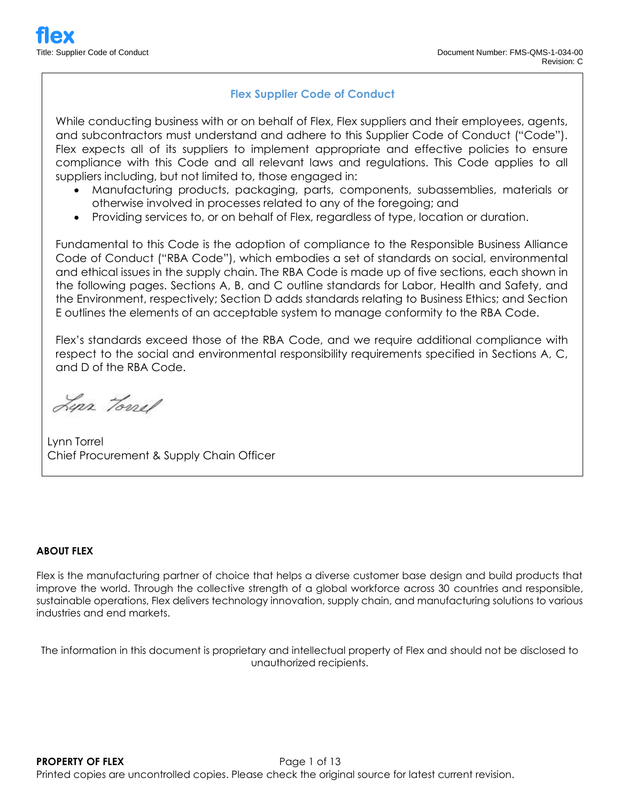## **Flex Supplier Code of Conduct**

While conducting business with or on behalf of Flex, Flex suppliers and their employees, agents, and subcontractors must understand and adhere to this Supplier Code of Conduct ("Code"). Flex expects all of its suppliers to implement appropriate and effective policies to ensure compliance with this Code and all relevant laws and regulations. This Code applies to all suppliers including, but not limited to, those engaged in:

- Manufacturing products, packaging, parts, components, subassemblies, materials or otherwise involved in processes related to any of the foregoing; and
- Providing services to, or on behalf of Flex, regardless of type, location or duration.

Fundamental to this Code is the adoption of compliance to the Responsible Business Alliance Code of Conduct ("RBA Code"), which embodies a set of standards on social, environmental and ethical issues in the supply chain. The RBA Code is made up of five sections, each shown in the following pages. Sections A, B, and C outline standards for Labor, Health and Safety, and the Environment, respectively; Section D adds standards relating to Business Ethics; and Section E outlines the elements of an acceptable system to manage conformity to the RBA Code.

Flex's standards exceed those of the RBA Code, and we require additional compliance with respect to the social and environmental responsibility requirements specified in Sections A, C, and D of the RBA Code.

Lyn Tonel

Lynn Torrel Chief Procurement & Supply Chain Officer

#### **ABOUT FLEX**

Flex is the manufacturing partner of choice that helps a diverse customer base design and build products that improve the world. Through the collective strength of a global workforce across 30 countries and responsible, sustainable operations, Flex delivers technology innovation, supply chain, and manufacturing solutions to various industries and end markets.

The information in this document is proprietary and intellectual property of Flex and should not be disclosed to unauthorized recipients.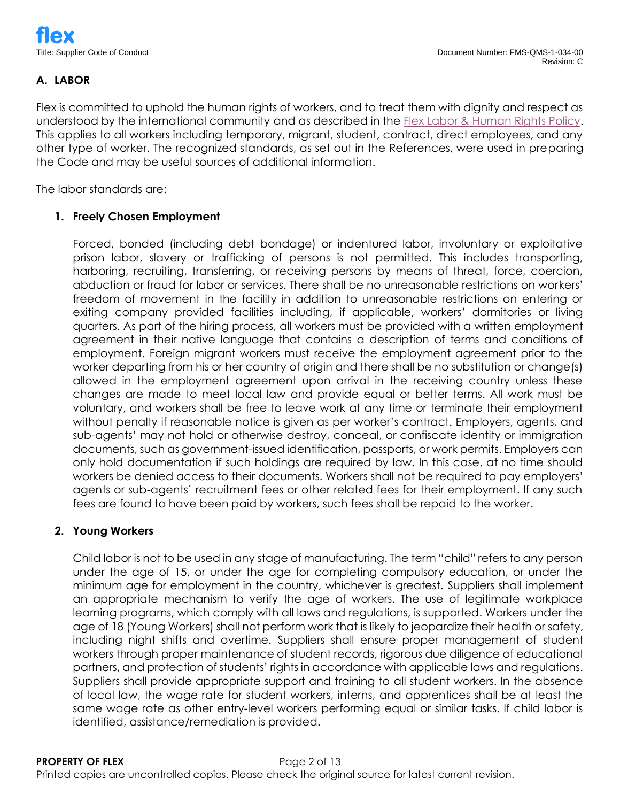# **A. LABOR**

Flex is committed to uphold the human rights of workers, and to treat them with dignity and respect as understood by the international community and as described in the [Flex Labor & Human Rights Policy.](https://www.flex.com/sites/default/files/component_b2/Flex%20Labor%20and%20Human%20Rights%20Policy.pdf) This applies to all workers including temporary, migrant, student, contract, direct employees, and any other type of worker. The recognized standards, as set out in the References, were used in preparing the Code and may be useful sources of additional information.

The labor standards are:

# **1. Freely Chosen Employment**

Forced, bonded (including debt bondage) or indentured labor, involuntary or exploitative prison labor, slavery or trafficking of persons is not permitted. This includes transporting, harboring, recruiting, transferring, or receiving persons by means of threat, force, coercion, abduction or fraud for labor or services. There shall be no unreasonable restrictions on workers' freedom of movement in the facility in addition to unreasonable restrictions on entering or exiting company provided facilities including, if applicable, workers' dormitories or living quarters. As part of the hiring process, all workers must be provided with a written employment agreement in their native language that contains a description of terms and conditions of employment. Foreign migrant workers must receive the employment agreement prior to the worker departing from his or her country of origin and there shall be no substitution or change(s) allowed in the employment agreement upon arrival in the receiving country unless these changes are made to meet local law and provide equal or better terms. All work must be voluntary, and workers shall be free to leave work at any time or terminate their employment without penalty if reasonable notice is given as per worker's contract. Employers, agents, and sub-agents' may not hold or otherwise destroy, conceal, or confiscate identity or immigration documents, such as government-issued identification, passports, or work permits. Employers can only hold documentation if such holdings are required by law. In this case, at no time should workers be denied access to their documents. Workers shall not be required to pay employers' agents or sub-agents' recruitment fees or other related fees for their employment. If any such fees are found to have been paid by workers, such fees shall be repaid to the worker.

### **2. Young Workers**

Child labor is not to be used in any stage of manufacturing. The term "child" refers to any person under the age of 15, or under the age for completing compulsory education, or under the minimum age for employment in the country, whichever is greatest. Suppliers shall implement an appropriate mechanism to verify the age of workers. The use of legitimate workplace learning programs, which comply with all laws and regulations, is supported. Workers under the age of 18 (Young Workers) shall not perform work that is likely to jeopardize their health or safety, including night shifts and overtime. Suppliers shall ensure proper management of student workers through proper maintenance of student records, rigorous due diligence of educational partners, and protection of students' rights in accordance with applicable laws and regulations. Suppliers shall provide appropriate support and training to all student workers. In the absence of local law, the wage rate for student workers, interns, and apprentices shall be at least the same wage rate as other entry-level workers performing equal or similar tasks. If child labor is identified, assistance/remediation is provided.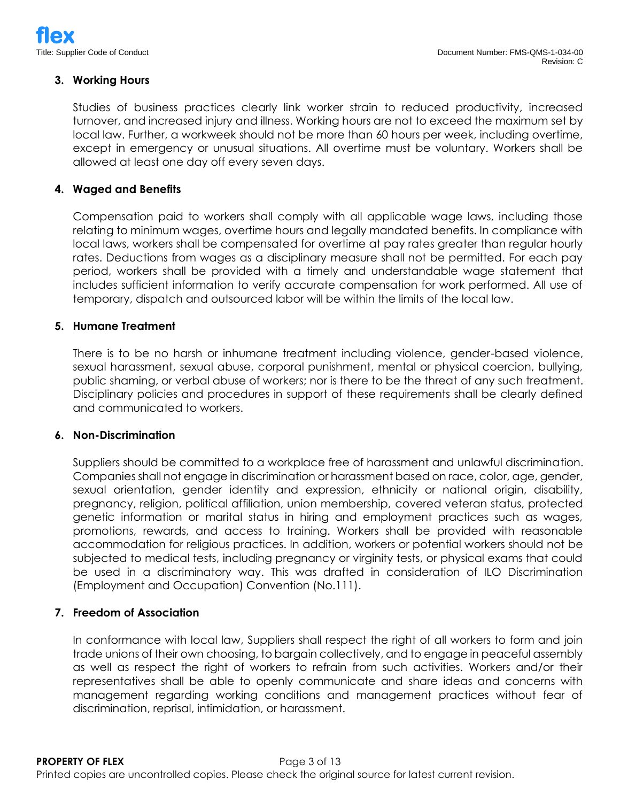### **3. Working Hours**

Studies of business practices clearly link worker strain to reduced productivity, increased turnover, and increased injury and illness. Working hours are not to exceed the maximum set by local law. Further, a workweek should not be more than 60 hours per week, including overtime, except in emergency or unusual situations. All overtime must be voluntary. Workers shall be allowed at least one day off every seven days.

#### **4. Waged and Benefits**

Compensation paid to workers shall comply with all applicable wage laws, including those relating to minimum wages, overtime hours and legally mandated benefits. In compliance with local laws, workers shall be compensated for overtime at pay rates greater than regular hourly rates. Deductions from wages as a disciplinary measure shall not be permitted. For each pay period, workers shall be provided with a timely and understandable wage statement that includes sufficient information to verify accurate compensation for work performed. All use of temporary, dispatch and outsourced labor will be within the limits of the local law.

#### **5. Humane Treatment**

There is to be no harsh or inhumane treatment including violence, gender-based violence, sexual harassment, sexual abuse, corporal punishment, mental or physical coercion, bullying, public shaming, or verbal abuse of workers; nor is there to be the threat of any such treatment. Disciplinary policies and procedures in support of these requirements shall be clearly defined and communicated to workers.

#### **6. Non-Discrimination**

Suppliers should be committed to a workplace free of harassment and unlawful discrimination. Companies shall not engage in discrimination or harassment based on race, color, age, gender, sexual orientation, gender identity and expression, ethnicity or national origin, disability, pregnancy, religion, political affiliation, union membership, covered veteran status, protected genetic information or marital status in hiring and employment practices such as wages, promotions, rewards, and access to training. Workers shall be provided with reasonable accommodation for religious practices. In addition, workers or potential workers should not be subjected to medical tests, including pregnancy or virginity tests, or physical exams that could be used in a discriminatory way. This was drafted in consideration of ILO Discrimination (Employment and Occupation) Convention (No.111).

#### **7. Freedom of Association**

In conformance with local law, Suppliers shall respect the right of all workers to form and join trade unions of their own choosing, to bargain collectively, and to engage in peaceful assembly as well as respect the right of workers to refrain from such activities. Workers and/or their representatives shall be able to openly communicate and share ideas and concerns with management regarding working conditions and management practices without fear of discrimination, reprisal, intimidation, or harassment.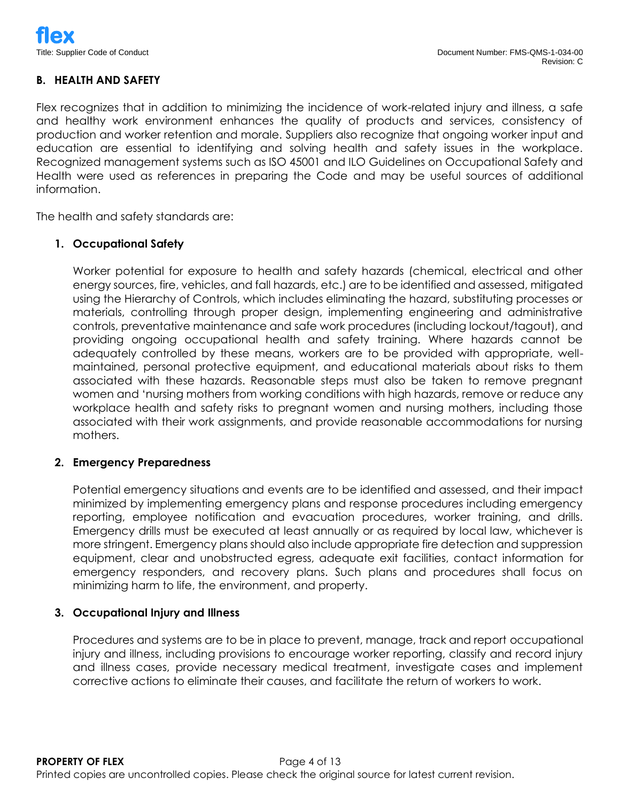### **B. HEALTH AND SAFETY**

Flex recognizes that in addition to minimizing the incidence of work-related injury and illness, a safe and healthy work environment enhances the quality of products and services, consistency of production and worker retention and morale. Suppliers also recognize that ongoing worker input and education are essential to identifying and solving health and safety issues in the workplace. Recognized management systems such as ISO 45001 and ILO Guidelines on Occupational Safety and Health were used as references in preparing the Code and may be useful sources of additional information.

The health and safety standards are:

### **1. Occupational Safety**

Worker potential for exposure to health and safety hazards (chemical, electrical and other energy sources, fire, vehicles, and fall hazards, etc.) are to be identified and assessed, mitigated using the Hierarchy of Controls, which includes eliminating the hazard, substituting processes or materials, controlling through proper design, implementing engineering and administrative controls, preventative maintenance and safe work procedures (including lockout/tagout), and providing ongoing occupational health and safety training. Where hazards cannot be adequately controlled by these means, workers are to be provided with appropriate, wellmaintained, personal protective equipment, and educational materials about risks to them associated with these hazards. Reasonable steps must also be taken to remove pregnant women and 'nursing mothers from working conditions with high hazards, remove or reduce any workplace health and safety risks to pregnant women and nursing mothers, including those associated with their work assignments, and provide reasonable accommodations for nursing mothers.

### **2. Emergency Preparedness**

Potential emergency situations and events are to be identified and assessed, and their impact minimized by implementing emergency plans and response procedures including emergency reporting, employee notification and evacuation procedures, worker training, and drills. Emergency drills must be executed at least annually or as required by local law, whichever is more stringent. Emergency plans should also include appropriate fire detection and suppression equipment, clear and unobstructed egress, adequate exit facilities, contact information for emergency responders, and recovery plans. Such plans and procedures shall focus on minimizing harm to life, the environment, and property.

### **3. Occupational Injury and Illness**

Procedures and systems are to be in place to prevent, manage, track and report occupational injury and illness, including provisions to encourage worker reporting, classify and record injury and illness cases, provide necessary medical treatment, investigate cases and implement corrective actions to eliminate their causes, and facilitate the return of workers to work.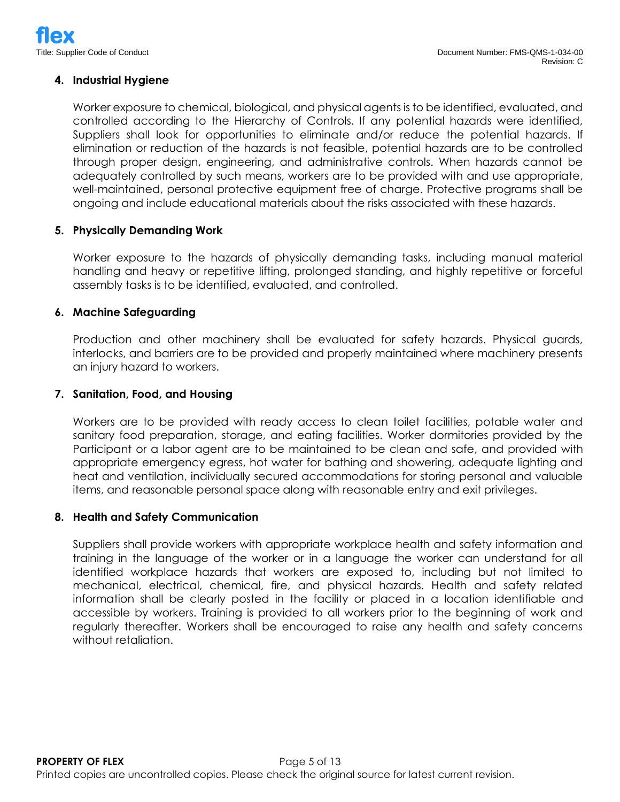### **4. Industrial Hygiene**

Worker exposure to chemical, biological, and physical agents is to be identified, evaluated, and controlled according to the Hierarchy of Controls. If any potential hazards were identified, Suppliers shall look for opportunities to eliminate and/or reduce the potential hazards. If elimination or reduction of the hazards is not feasible, potential hazards are to be controlled through proper design, engineering, and administrative controls. When hazards cannot be adequately controlled by such means, workers are to be provided with and use appropriate, well-maintained, personal protective equipment free of charge. Protective programs shall be ongoing and include educational materials about the risks associated with these hazards.

### **5. Physically Demanding Work**

Worker exposure to the hazards of physically demanding tasks, including manual material handling and heavy or repetitive lifting, prolonged standing, and highly repetitive or forceful assembly tasks is to be identified, evaluated, and controlled.

#### **6. Machine Safeguarding**

Production and other machinery shall be evaluated for safety hazards. Physical guards, interlocks, and barriers are to be provided and properly maintained where machinery presents an injury hazard to workers.

#### **7. Sanitation, Food, and Housing**

Workers are to be provided with ready access to clean toilet facilities, potable water and sanitary food preparation, storage, and eating facilities. Worker dormitories provided by the Participant or a labor agent are to be maintained to be clean and safe, and provided with appropriate emergency egress, hot water for bathing and showering, adequate lighting and heat and ventilation, individually secured accommodations for storing personal and valuable items, and reasonable personal space along with reasonable entry and exit privileges.

#### **8. Health and Safety Communication**

Suppliers shall provide workers with appropriate workplace health and safety information and training in the language of the worker or in a language the worker can understand for all identified workplace hazards that workers are exposed to, including but not limited to mechanical, electrical, chemical, fire, and physical hazards. Health and safety related information shall be clearly posted in the facility or placed in a location identifiable and accessible by workers. Training is provided to all workers prior to the beginning of work and regularly thereafter. Workers shall be encouraged to raise any health and safety concerns without retaliation.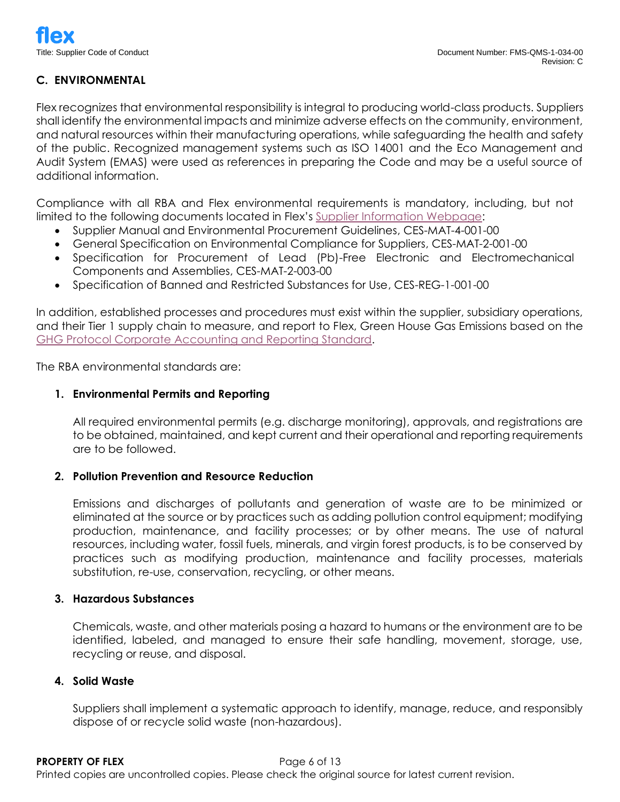# **C. ENVIRONMENTAL**

Flex recognizes that environmental responsibility is integral to producing world-class products. Suppliers shall identify the environmental impacts and minimize adverse effects on the community, environment, and natural resources within their manufacturing operations, while safeguarding the health and safety of the public. Recognized management systems such as ISO 14001 and the Eco Management and Audit System (EMAS) were used as references in preparing the Code and may be a useful source of additional information.

Compliance with all RBA and Flex environmental requirements is mandatory, including, but not limited to the following documents located in Flex's [Supplier Information](https://flex.com/supplier-information/supplier-quality) Webpage:

- Supplier Manual and Environmental Procurement Guidelines, CES-MAT-4-001-00
- General Specification on Environmental Compliance for Suppliers, CES-MAT-2-001-00
- Specification for Procurement of Lead (Pb)-Free Electronic and Electromechanical Components and Assemblies, CES-MAT-2-003-00
- Specification of Banned and Restricted Substances for Use, CES-REG-1-001-00

In addition, established processes and procedures must exist within the supplier, subsidiary operations, and their Tier 1 supply chain to measure, and report to Flex, Green House Gas Emissions based on the [GHG Protocol Corporate Accounting and Reporting Standard.](http://www.ghgprotocol.org/corporate-standard)

The RBA environmental standards are:

### **1. Environmental Permits and Reporting**

All required environmental permits (e.g. discharge monitoring), approvals, and registrations are to be obtained, maintained, and kept current and their operational and reporting requirements are to be followed.

### **2. Pollution Prevention and Resource Reduction**

Emissions and discharges of pollutants and generation of waste are to be minimized or eliminated at the source or by practices such as adding pollution control equipment; modifying production, maintenance, and facility processes; or by other means. The use of natural resources, including water, fossil fuels, minerals, and virgin forest products, is to be conserved by practices such as modifying production, maintenance and facility processes, materials substitution, re-use, conservation, recycling, or other means.

### **3. Hazardous Substances**

Chemicals, waste, and other materials posing a hazard to humans or the environment are to be identified, labeled, and managed to ensure their safe handling, movement, storage, use, recycling or reuse, and disposal.

### **4. Solid Waste**

Suppliers shall implement a systematic approach to identify, manage, reduce, and responsibly dispose of or recycle solid waste (non-hazardous).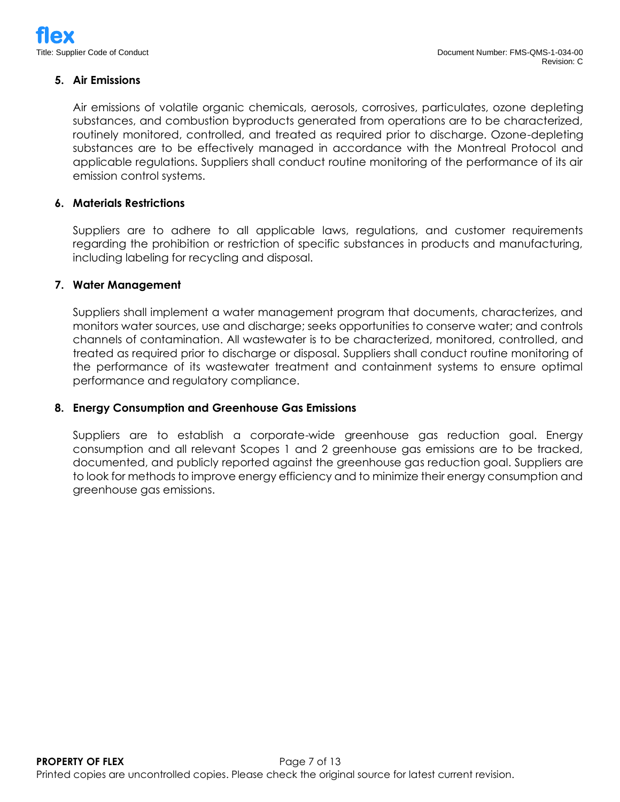# **5. Air Emissions**

Air emissions of volatile organic chemicals, aerosols, corrosives, particulates, ozone depleting substances, and combustion byproducts generated from operations are to be characterized, routinely monitored, controlled, and treated as required prior to discharge. Ozone-depleting substances are to be effectively managed in accordance with the Montreal Protocol and applicable regulations. Suppliers shall conduct routine monitoring of the performance of its air emission control systems.

### **6. Materials Restrictions**

Suppliers are to adhere to all applicable laws, regulations, and customer requirements regarding the prohibition or restriction of specific substances in products and manufacturing, including labeling for recycling and disposal.

#### **7. Water Management**

Suppliers shall implement a water management program that documents, characterizes, and monitors water sources, use and discharge; seeks opportunities to conserve water; and controls channels of contamination. All wastewater is to be characterized, monitored, controlled, and treated as required prior to discharge or disposal. Suppliers shall conduct routine monitoring of the performance of its wastewater treatment and containment systems to ensure optimal performance and regulatory compliance.

#### **8. Energy Consumption and Greenhouse Gas Emissions**

Suppliers are to establish a corporate-wide greenhouse gas reduction goal. Energy consumption and all relevant Scopes 1 and 2 greenhouse gas emissions are to be tracked, documented, and publicly reported against the greenhouse gas reduction goal. Suppliers are to look for methods to improve energy efficiency and to minimize their energy consumption and greenhouse gas emissions.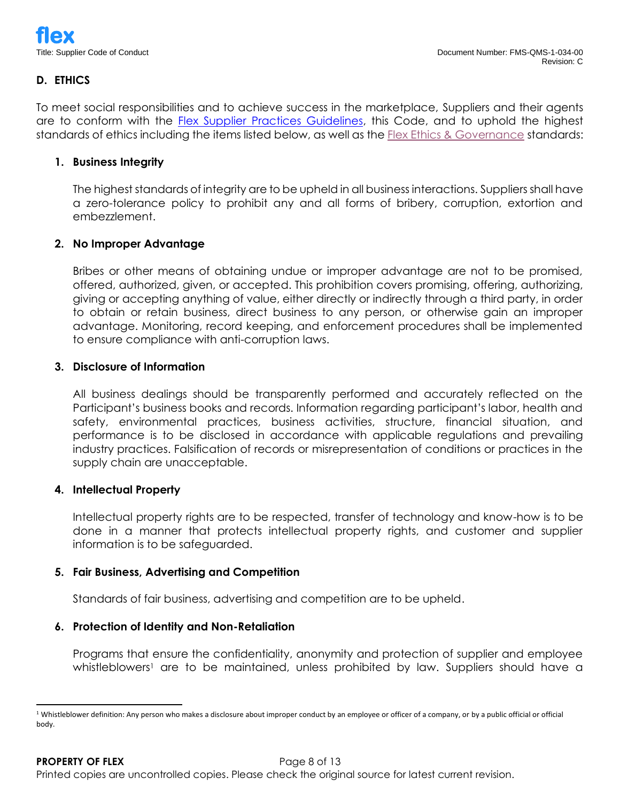# **D. ETHICS**

To meet social responsibilities and to achieve success in the marketplace, Suppliers and their agents are to conform with the **Flex Supplier Practices Guidelines**, this Code, and to uphold the highest standards of ethics including the items listed below, as well as th[e Flex Ethics & Governance](https://www.flex.com/about/ethics-governance) standards:

#### **1. Business Integrity**

The highest standards of integrity are to be upheld in all business interactions. Suppliers shall have a zero-tolerance policy to prohibit any and all forms of bribery, corruption, extortion and embezzlement.

#### **2. No Improper Advantage**

Bribes or other means of obtaining undue or improper advantage are not to be promised, offered, authorized, given, or accepted. This prohibition covers promising, offering, authorizing, giving or accepting anything of value, either directly or indirectly through a third party, in order to obtain or retain business, direct business to any person, or otherwise gain an improper advantage. Monitoring, record keeping, and enforcement procedures shall be implemented to ensure compliance with anti-corruption laws.

#### **3. Disclosure of Information**

All business dealings should be transparently performed and accurately reflected on the Participant's business books and records. Information regarding participant's labor, health and safety, environmental practices, business activities, structure, financial situation, and performance is to be disclosed in accordance with applicable regulations and prevailing industry practices. Falsification of records or misrepresentation of conditions or practices in the supply chain are unacceptable.

#### **4. Intellectual Property**

Intellectual property rights are to be respected, transfer of technology and know-how is to be done in a manner that protects intellectual property rights, and customer and supplier information is to be safeguarded.

#### **5. Fair Business, Advertising and Competition**

Standards of fair business, advertising and competition are to be upheld.

#### **6. Protection of Identity and Non-Retaliation**

Programs that ensure the confidentiality, anonymity and protection of supplier and employee whistleblowers<sup>1</sup> are to be maintained, unless prohibited by law. Suppliers should have a

<sup>&</sup>lt;sup>1</sup> Whistleblower definition: Any person who makes a disclosure about improper conduct by an employee or officer of a company, or by a public official or official body.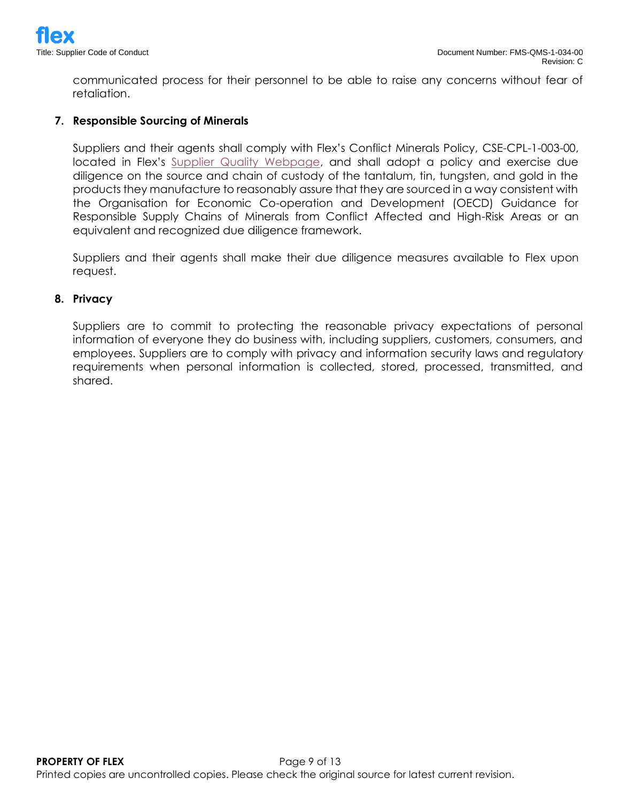communicated process for their personnel to be able to raise any concerns without fear of retaliation.

### **7. Responsible Sourcing of Minerals**

Suppliers and their agents shall comply with Flex's Conflict Minerals Policy, CSE-CPL-1-003-00, located in Flex's [Supplier Quality Webpage,](https://flex.com/supplier-information/supplier-quality) and shall adopt a policy and exercise due diligence on the source and chain of custody of the tantalum, tin, tungsten, and gold in the products they manufacture to reasonably assure that they are sourced in a way consistent with the Organisation for Economic Co-operation and Development (OECD) Guidance for Responsible Supply Chains of Minerals from Conflict Affected and High-Risk Areas or an equivalent and recognized due diligence framework.

Suppliers and their agents shall make their due diligence measures available to Flex upon request.

#### **8. Privacy**

Suppliers are to commit to protecting the reasonable privacy expectations of personal information of everyone they do business with, including suppliers, customers, consumers, and employees. Suppliers are to comply with privacy and information security laws and regulatory requirements when personal information is collected, stored, processed, transmitted, and shared.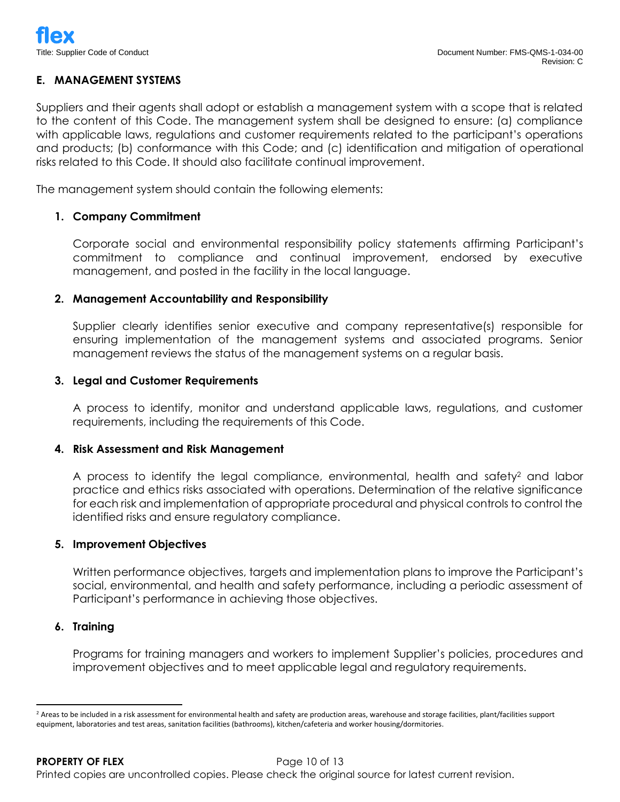### **E. MANAGEMENT SYSTEMS**

Suppliers and their agents shall adopt or establish a management system with a scope that is related to the content of this Code. The management system shall be designed to ensure: (a) compliance with applicable laws, regulations and customer requirements related to the participant's operations and products; (b) conformance with this Code; and (c) identification and mitigation of operational risks related to this Code. It should also facilitate continual improvement.

The management system should contain the following elements:

### **1. Company Commitment**

Corporate social and environmental responsibility policy statements affirming Participant's commitment to compliance and continual improvement, endorsed by executive management, and posted in the facility in the local language.

### **2. Management Accountability and Responsibility**

Supplier clearly identifies senior executive and company representative(s) responsible for ensuring implementation of the management systems and associated programs. Senior management reviews the status of the management systems on a regular basis.

### **3. Legal and Customer Requirements**

A process to identify, monitor and understand applicable laws, regulations, and customer requirements, including the requirements of this Code.

### **4. Risk Assessment and Risk Management**

A process to identify the legal compliance, environmental, health and safety<sup>2</sup> and labor practice and ethics risks associated with operations. Determination of the relative significance for each risk and implementation of appropriate procedural and physical controls to control the identified risks and ensure regulatory compliance.

### **5. Improvement Objectives**

Written performance objectives, targets and implementation plans to improve the Participant's social, environmental, and health and safety performance, including a periodic assessment of Participant's performance in achieving those objectives.

### **6. Training**

Programs for training managers and workers to implement Supplier's policies, procedures and improvement objectives and to meet applicable legal and regulatory requirements.

<sup>&</sup>lt;sup>2</sup> Areas to be included in a risk assessment for environmental health and safety are production areas, warehouse and storage facilities, plant/facilities support equipment, laboratories and test areas, sanitation facilities (bathrooms), kitchen/cafeteria and worker housing/dormitories.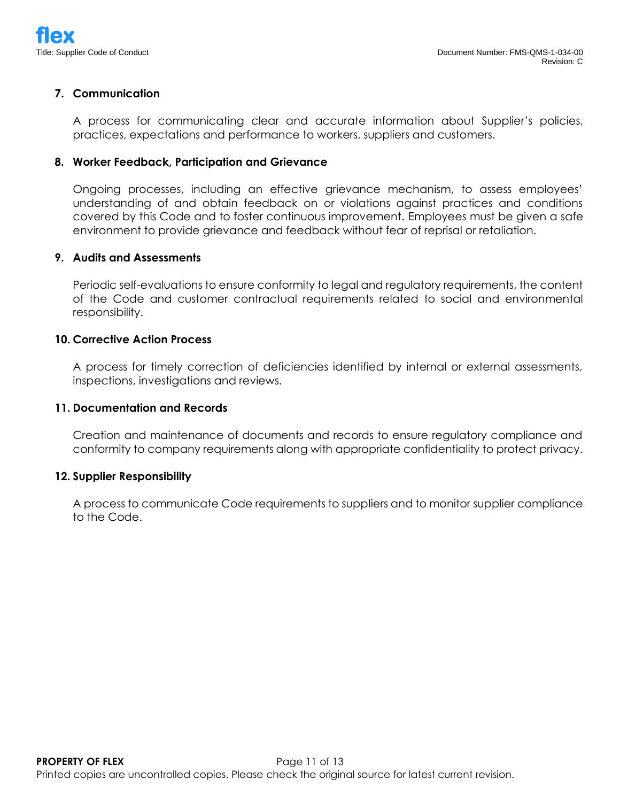### **7. Communication**

A process for communicating clear and accurate information about Supplier's policies, practices, expectations and performance to workers, suppliers and customers.

#### **8. Worker Feedback, Participation and Grievance**

Ongoing processes, including an effective grievance mechanism, to assess employees' understanding of and obtain feedback on or violations against practices and conditions covered by this Code and to foster continuous improvement. Employees must be given a safe environment to provide grievance and feedback without fear of reprisal or retaliation.

#### **9. Audits and Assessments**

Periodic self-evaluations to ensure conformity to legal and regulatory requirements, the content of the Code and customer contractual requirements related to social and environmental responsibility.

#### **10. Corrective Action Process**

A process for timely correction of deficiencies identified by internal or external assessments, inspections, investigations and reviews.

#### **11. Documentation and Records**

Creation and maintenance of documents and records to ensure regulatory compliance and conformity to company requirements along with appropriate confidentiality to protect privacy.

#### **12. Supplier Responsibility**

A process to communicate Code requirements to suppliers and to monitor supplier compliance to the Code.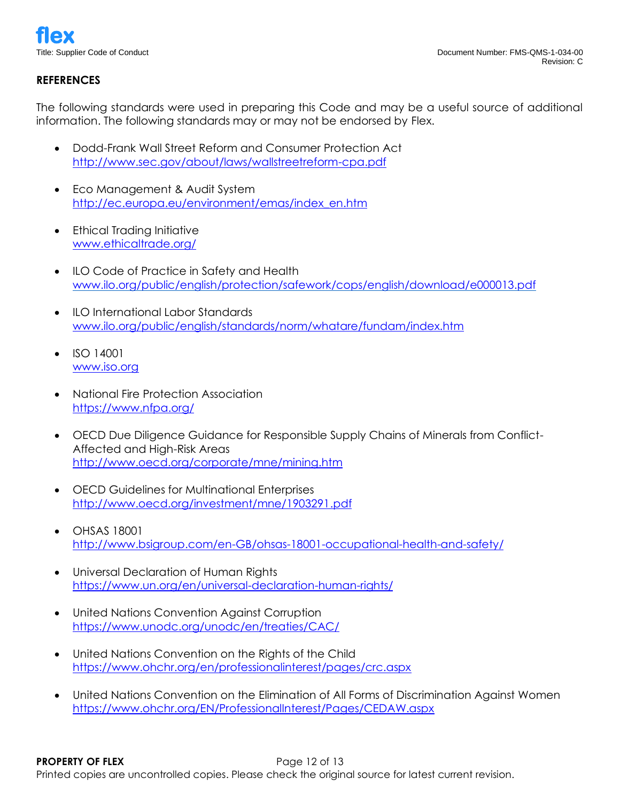# **REFERENCES**

The following standards were used in preparing this Code and may be a useful source of additional information. The following standards may or may not be endorsed by Flex.

- Dodd-Frank Wall Street Reform and Consumer Protection Act <http://www.sec.gov/about/laws/wallstreetreform-cpa.pdf>
- Eco Management & Audit System [http://ec.europa.eu/environment/emas/index\\_en.htm](http://ec.europa.eu/environment/emas/index_en.htm)
- Ethical Trading Initiative [www.ethicaltrade.org/](http://www.ethicaltrade.org/)
- ILO Code of Practice in Safety and Health [www.ilo.org/public/english/protection/safework/cops/english/download/e000013.pdf](http://www.ilo.org/public/english/protection/safework/cops/english/download/e000013.pdf)
- ILO International Labor Standards [www.ilo.org/public/english/standards/norm/whatare/fundam/index.htm](http://www.ilo.org/public/english/standards/norm/whatare/fundam/index.htm)
- ISO 14001 [www.iso.org](http://www.iso.org/)
- National Fire Protection Association <https://www.nfpa.org/>
- OECD Due Diligence Guidance for Responsible Supply Chains of Minerals from Conflict-Affected and High-Risk Areas <http://www.oecd.org/corporate/mne/mining.htm>
- OECD Guidelines for Multinational Enterprises <http://www.oecd.org/investment/mne/1903291.pdf>
- OHSAS 18001 <http://www.bsigroup.com/en-GB/ohsas-18001-occupational-health-and-safety/>
- Universal Declaration of Human Rights <https://www.un.org/en/universal-declaration-human-rights/>
- United Nations Convention Against Corruption <https://www.unodc.org/unodc/en/treaties/CAC/>
- United Nations Convention on the Rights of the Child <https://www.ohchr.org/en/professionalinterest/pages/crc.aspx>
- United Nations Convention on the Elimination of All Forms of Discrimination Against Women <https://www.ohchr.org/EN/ProfessionalInterest/Pages/CEDAW.aspx>